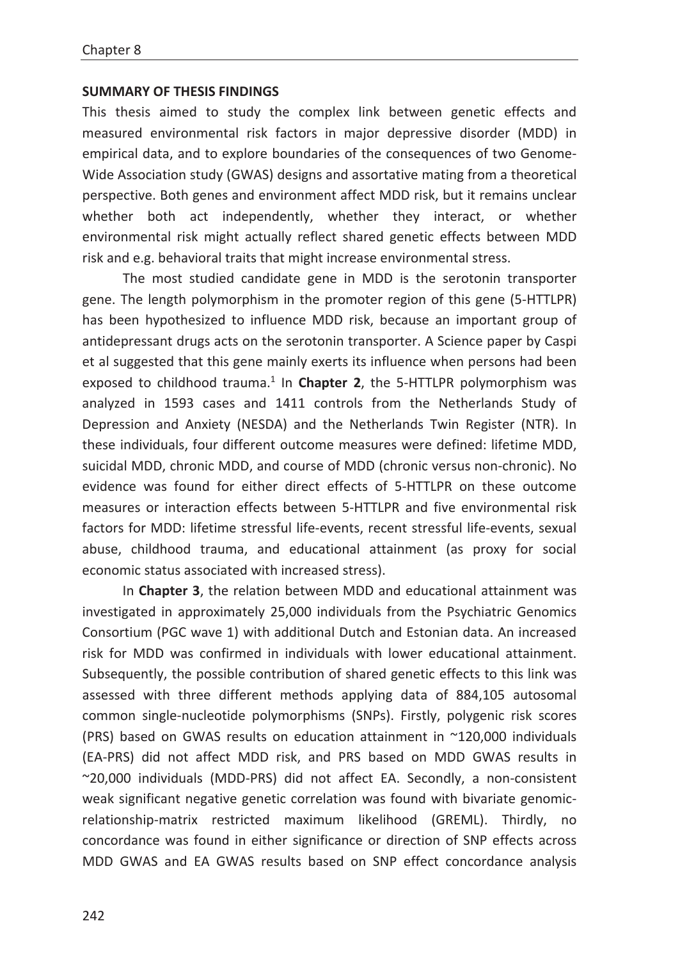## **SUMMARY OF THESIS FINDINGS**

This thesis aimed to study the complex link between genetic effects and measured environmental risk factors in major depressive disorder (MDD) in empirical data, and to explore boundaries of the consequences of two Genome-Wide Association study (GWAS) designs and assortative mating from a theoretical perspective. Both genes and environment affect MDD risk, but it remains unclear whether both act independently, whether they interact, or whether environmental risk might actually reflect shared genetic effects between MDD risk and e.g. behavioral traits that might increase environmental stress.

The most studied candidate gene in MDD is the serotonin transporter gene. The length polymorphism in the promoter region of this gene (5-HTTLPR) has been hypothesized to influence MDD risk, because an important group of antidepressant drugs acts on the serotonin transporter. A Science paper by Caspi et al suggested that this gene mainly exerts its influence when persons had been exposed to childhood trauma.<sup>1</sup> In **Chapter 2**, the 5-HTTLPR polymorphism was analyzed in 1593 cases and 1411 controls from the Netherlands Study of Depression and Anxiety (NESDA) and the Netherlands Twin Register (NTR). In these individuals, four different outcome measures were defined: lifetime MDD, suicidal MDD, chronic MDD, and course of MDD (chronic versus non-chronic). No evidence was found for either direct effects of 5-HTTLPR on these outcome measures or interaction effects between 5-HTTLPR and five environmental risk factors for MDD: lifetime stressful life-events, recent stressful life-events, sexual abuse, childhood trauma, and educational attainment (as proxy for social economic status associated with increased stress).

In **Chapter 3**, the relation between MDD and educational attainment was investigated in approximately 25,000 individuals from the Psychiatric Genomics Consortium (PGC wave 1) with additional Dutch and Estonian data. An increased risk for MDD was confirmed in individuals with lower educational attainment. Subsequently, the possible contribution of shared genetic effects to this link was assessed with three different methods applying data of 884,105 autosomal common single-nucleotide polymorphisms (SNPs). Firstly, polygenic risk scores (PRS) based on GWAS results on education attainment in ~120,000 individuals (EA-PRS) did not affect MDD risk, and PRS based on MDD GWAS results in ~20,000 individuals (MDD-PRS) did not affect EA. Secondly, a non-consistent weak significant negative genetic correlation was found with bivariate genomicrelationship-matrix restricted maximum likelihood (GREML). Thirdly, no concordance was found in either significance or direction of SNP effects across MDD GWAS and EA GWAS results based on SNP effect concordance analysis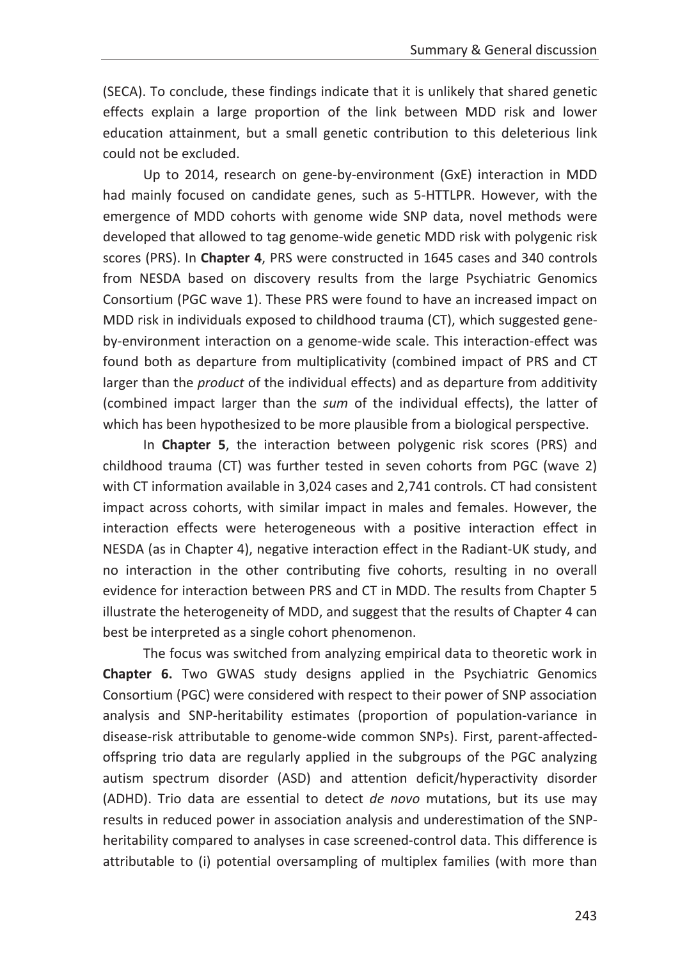(SECA). To conclude, these findings indicate that it is unlikely that shared genetic effects explain a large proportion of the link between MDD risk and lower education attainment, but a small genetic contribution to this deleterious link could not be excluded.

Up to 2014, research on gene-by-environment (GxE) interaction in MDD had mainly focused on candidate genes, such as 5-HTTLPR. However, with the emergence of MDD cohorts with genome wide SNP data, novel methods were developed that allowed to tag genome-wide genetic MDD risk with polygenic risk scores (PRS). In **Chapter 4**, PRS were constructed in 1645 cases and 340 controls from NESDA based on discovery results from the large Psychiatric Genomics Consortium (PGC wave 1). These PRS were found to have an increased impact on MDD risk in individuals exposed to childhood trauma (CT), which suggested geneby-environment interaction on a genome-wide scale. This interaction-effect was found both as departure from multiplicativity (combined impact of PRS and CT larger than the *product* of the individual effects) and as departure from additivity (combined impact larger than the *sum* of the individual effects), the latter of which has been hypothesized to be more plausible from a biological perspective.

In **Chapter 5**, the interaction between polygenic risk scores (PRS) and childhood trauma (CT) was further tested in seven cohorts from PGC (wave 2) with CT information available in 3,024 cases and 2,741 controls. CT had consistent impact across cohorts, with similar impact in males and females. However, the interaction effects were heterogeneous with a positive interaction effect in NESDA (as in Chapter 4), negative interaction effect in the Radiant-UK study, and no interaction in the other contributing five cohorts, resulting in no overall evidence for interaction between PRS and CT in MDD. The results from Chapter 5 illustrate the heterogeneity of MDD, and suggest that the results of Chapter 4 can best be interpreted as a single cohort phenomenon.

The focus was switched from analyzing empirical data to theoretic work in **Chapter 6.** Two GWAS study designs applied in the Psychiatric Genomics Consortium (PGC) were considered with respect to their power of SNP association analysis and SNP-heritability estimates (proportion of population-variance in disease-risk attributable to genome-wide common SNPs). First, parent-affectedoffspring trio data are regularly applied in the subgroups of the PGC analyzing autism spectrum disorder (ASD) and attention deficit/hyperactivity disorder (ADHD). Trio data are essential to detect *de novo* mutations, but its use may results in reduced power in association analysis and underestimation of the SNPheritability compared to analyses in case screened-control data. This difference is attributable to (i) potential oversampling of multiplex families (with more than